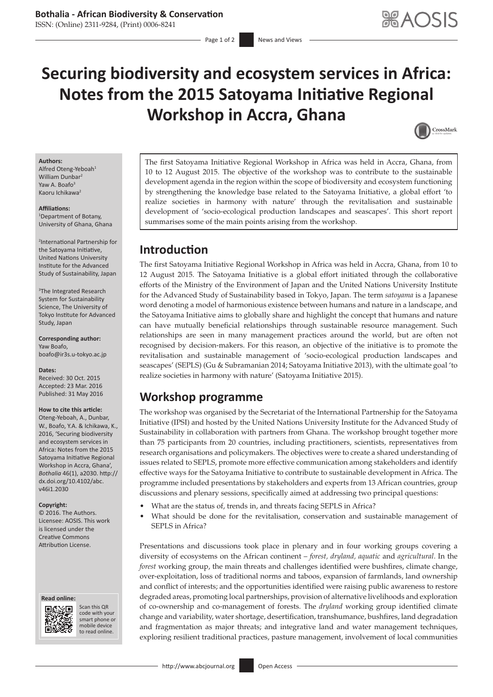# **Securing biodiversity and ecosystem services in Africa: Notes from the 2015 Satoyama Initiative Regional Workshop in Accra, Ghana**



#### **Authors:**

Alfred Oteng-Yeboah<sup>1</sup> William Dunbar Yaw  $\Delta$  Boafo<sup>3</sup> Kaoru Ichikawa2

### **Affiliations:**

1 Department of Botany, University of Ghana, Ghana

2 International Partnership for the Satoyama Initiative, United Nations University Institute for the Advanced Study of Sustainability, Japan

3 The Integrated Research System for Sustainability Science, The University of Tokyo Institute for Advanced Study, Japan

**Corresponding author:** Yaw Boafo, [boafo@ir3s.u-tokyo.ac.jp](mailto:boafo@ir3s.u-tokyo.ac.jp)

#### **Dates:**

Received: 30 Oct. 2015 Accepted: 23 Mar. 2016 Published: 31 May 2016

#### **How to cite this article:**

Oteng-Yeboah, A., Dunbar, W., Boafo, Y.A. & Ichikawa, K., 2016, 'Securing biodiversity and ecosystem services in Africa: Notes from the 2015 Satoyama Initiative Regional Workshop in Accra, Ghana', *Bothalia* 46(1), a2030. [http://](http://dx.doi.org/10.4102/abc.v46i1.2030) [dx.doi.org/10.4102/abc.](http://dx.doi.org/10.4102/abc.v46i1.2030) [v46i1.2030](http://dx.doi.org/10.4102/abc.v46i1.2030)

#### **Copyright:**

© 2016. The Authors. Licensee: AOSIS. This work is licensed under the Creative Commons Attribution License.

#### **Read online: Read**



Scan this QR Scan this QR<br>code with your smart phone or smart phone or mobile mobile device to read online. to read online.

The first Satoyama Initiative Regional Workshop in Africa was held in Accra, Ghana, from 10 to 12 August 2015. The objective of the workshop was to contribute to the sustainable development agenda in the region within the scope of biodiversity and ecosystem functioning by strengthening the knowledge base related to the Satoyama Initiative, a global effort 'to realize societies in harmony with nature' through the revitalisation and sustainable development of 'socio-ecological production landscapes and seascapes'. This short report summarises some of the main points arising from the workshop.

### **Introduction**

The first Satoyama Initiative Regional Workshop in Africa was held in Accra, Ghana, from 10 to 12 August 2015. The Satoyama Initiative is a global effort initiated through the collaborative efforts of the Ministry of the Environment of Japan and the United Nations University Institute for the Advanced Study of Sustainability based in Tokyo, Japan. The term *satoyama* is a Japanese word denoting a model of harmonious existence between humans and nature in a landscape, and the Satoyama Initiative aims to globally share and highlight the concept that humans and nature can have mutually beneficial relationships through sustainable resource management. Such relationships are seen in many management practices around the world, but are often not recognised by decision-makers. For this reason, an objective of the initiative is to promote the revitalisation and sustainable management of 'socio-ecological production landscapes and seascapes' (SEPLS) (Gu & Subramanian 2014; Satoyama Initiative 2013), with the ultimate goal 'to realize societies in harmony with nature' (Satoyama Initiative 2015).

# **Workshop programme**

The workshop was organised by the Secretariat of the International Partnership for the Satoyama Initiative (IPSI) and hosted by the United Nations University Institute for the Advanced Study of Sustainability in collaboration with partners from Ghana. The workshop brought together more than 75 participants from 20 countries, including practitioners, scientists, representatives from research organisations and policymakers. The objectives were to create a shared understanding of issues related to SEPLS, promote more effective communication among stakeholders and identify effective ways for the Satoyama Initiative to contribute to sustainable development in Africa. The programme included presentations by stakeholders and experts from 13 African countries, group discussions and plenary sessions, specifically aimed at addressing two principal questions:

- What are the status of, trends in, and threats facing SEPLS in Africa?
- What should be done for the revitalisation, conservation and sustainable management of SEPLS in Africa?

Presentations and discussions took place in plenary and in four working groups covering a diversity of ecosystems on the African continent – *forest, dryland, aquatic* and *agricultural*. In the *forest* working group, the main threats and challenges identified were bushfires, climate change, over-exploitation, loss of traditional norms and taboos, expansion of farmlands, land ownership and conflict of interests; and the opportunities identified were raising public awareness to restore degraded areas, promoting local partnerships, provision of alternative livelihoods and exploration of co-ownership and co-management of forests. The *dryland* working group identified climate change and variability, water shortage, desertification, transhumance, bushfires, land degradation and fragmentation as major threats; and integrative land and water management techniques, exploring resilient traditional practices, pasture management, involvement of local communities